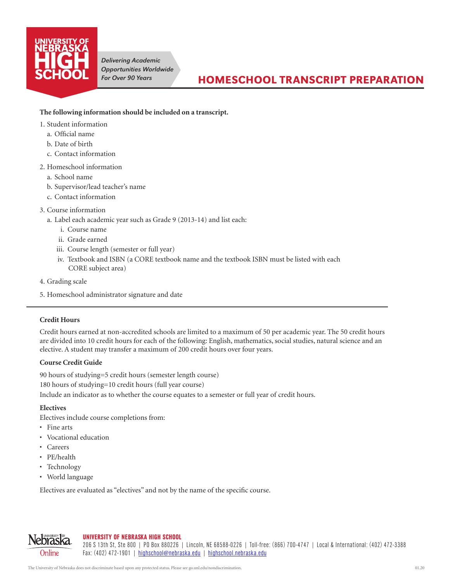

*Delivering Academic Opportunities Worldwide For Over 90 Years*

## **The following information should be included on a transcript.**

- 1. Student information
	- a. Official name
	- b. Date of birth
	- c. Contact information
- 2. Homeschool information
	- a. School name
	- b. Supervisor/lead teacher's name
	- c. Contact information
- 3. Course information
	- a. Label each academic year such as Grade 9 (2013-14) and list each:
		- i. Course name
		- ii. Grade earned
		- iii. Course length (semester or full year)
		- iv. Textbook and ISBN (a CORE textbook name and the textbook ISBN must be listed with each CORE subject area)
- 4. Grading scale
- 5. Homeschool administrator signature and date

### **Credit Hours**

Credit hours earned at non-accredited schools are limited to a maximum of 50 per academic year. The 50 credit hours are divided into 10 credit hours for each of the following: English, mathematics, social studies, natural science and an elective. A student may transfer a maximum of 200 credit hours over four years.

#### **Course Credit Guide**

90 hours of studying=5 credit hours (semester length course) 180 hours of studying=10 credit hours (full year course) Include an indicator as to whether the course equates to a semester or full year of credit hours.

#### **Electives**

Electives include course completions from:

- • Fine arts
- • Vocational education
- • Careers
- • PE/health

Nebras Online

- Technology
- World language

Electives are evaluated as "electives" and not by the name of the specific course.

# UNIVERSITY OF NEBRASKA HIGH SCHOOL

206 S 13th St, Ste 800 | PO Box 880226 | Lincoln, NE 68588-0226 | Toll-free: (866) 700-4747 | Local & International: (402) 472-3388 Fax: (402) 472-1901 | [highschool@nebraska.edu](mailto:highschool@nebraska.edu) | [highschool.nebraska.edu](https://highschool.nebraska.edu)